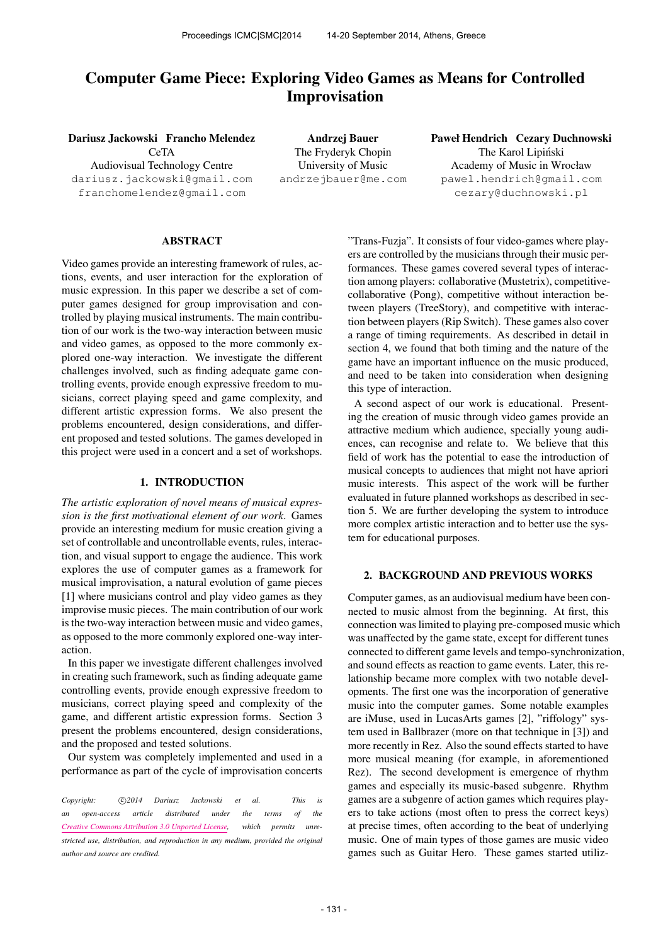# Computer Game Piece: Exploring Video Games as Means for Controlled Improvisation

Dariusz Jackowski Francho Melendez

CeTA Audiovisual Technology Centre [dariusz.jackowski@gmail.com](mailto:dariusz.jackowski@gmail.com) [franchomelendez@gmail.com](mailto:franchomelendez@gmail.com)

Andrzej Bauer The Fryderyk Chopin University of Music [andrzejbauer@me.com](mailto:andrzejbauer@me.com) Paweł Hendrich Cezary Duchnowski The Karol Lipiński Academy of Music in Wrocław [pawel.hendrich@gmail.com](mailto:pawel.hendrich@gmail.com) [cezary@duchnowski.pl](mailto:cezary@duchnowski.pl)

# ABSTRACT

Video games provide an interesting framework of rules, actions, events, and user interaction for the exploration of music expression. In this paper we describe a set of computer games designed for group improvisation and controlled by playing musical instruments. The main contribution of our work is the two-way interaction between music and video games, as opposed to the more commonly explored one-way interaction. We investigate the different challenges involved, such as finding adequate game controlling events, provide enough expressive freedom to musicians, correct playing speed and game complexity, and different artistic expression forms. We also present the problems encountered, design considerations, and different proposed and tested solutions. The games developed in this project were used in a concert and a set of workshops.

#### 1. INTRODUCTION

*The artistic exploration of novel means of musical expression is the first motivational element of our work*. Games provide an interesting medium for music creation giving a set of controllable and uncontrollable events, rules, interaction, and visual support to engage the audience. This work explores the use of computer games as a framework for musical improvisation, a natural evolution of game pieces [1] where musicians control and play video games as they improvise music pieces. The main contribution of our work is the two-way interaction between music and video games, as opposed to the more commonly explored one-way interaction.

In this paper we investigate different challenges involved in creating such framework, such as finding adequate game controlling events, provide enough expressive freedom to musicians, correct playing speed and complexity of the game, and different artistic expression forms. Section 3 present the problems encountered, design considerations, and the proposed and tested solutions.

Our system was completely implemented and used in a performance as part of the cycle of improvisation concerts

Copyright:  $\bigcirc$ 2014 Dariusz Jackowski et al. This is *an open-access article distributed under the terms of the [Creative Commons Attribution 3.0 Unported License,](http://creativecommons.org/licenses/by/3.0/) which permits unrestricted use, distribution, and reproduction in any medium, provided the original author and source are credited.*

"Trans-Fuzja". It consists of four video-games where players are controlled by the musicians through their music performances. These games covered several types of interaction among players: collaborative (Mustetrix), competitivecollaborative (Pong), competitive without interaction between players (TreeStory), and competitive with interaction between players (Rip Switch). These games also cover a range of timing requirements. As described in detail in section 4, we found that both timing and the nature of the game have an important influence on the music produced, and need to be taken into consideration when designing this type of interaction.

A second aspect of our work is educational. Presenting the creation of music through video games provide an attractive medium which audience, specially young audiences, can recognise and relate to. We believe that this field of work has the potential to ease the introduction of musical concepts to audiences that might not have apriori music interests. This aspect of the work will be further evaluated in future planned workshops as described in section 5. We are further developing the system to introduce more complex artistic interaction and to better use the system for educational purposes.

## 2. BACKGROUND AND PREVIOUS WORKS

Computer games, as an audiovisual medium have been connected to music almost from the beginning. At first, this connection was limited to playing pre-composed music which was unaffected by the game state, except for different tunes connected to different game levels and tempo-synchronization, and sound effects as reaction to game events. Later, this relationship became more complex with two notable developments. The first one was the incorporation of generative music into the computer games. Some notable examples are iMuse, used in LucasArts games [2], "riffology" system used in Ballbrazer (more on that technique in [3]) and more recently in Rez. Also the sound effects started to have more musical meaning (for example, in aforementioned Rez). The second development is emergence of rhythm games and especially its music-based subgenre. Rhythm games are a subgenre of action games which requires players to take actions (most often to press the correct keys) at precise times, often according to the beat of underlying music. One of main types of those games are music video games such as Guitar Hero. These games started utiliz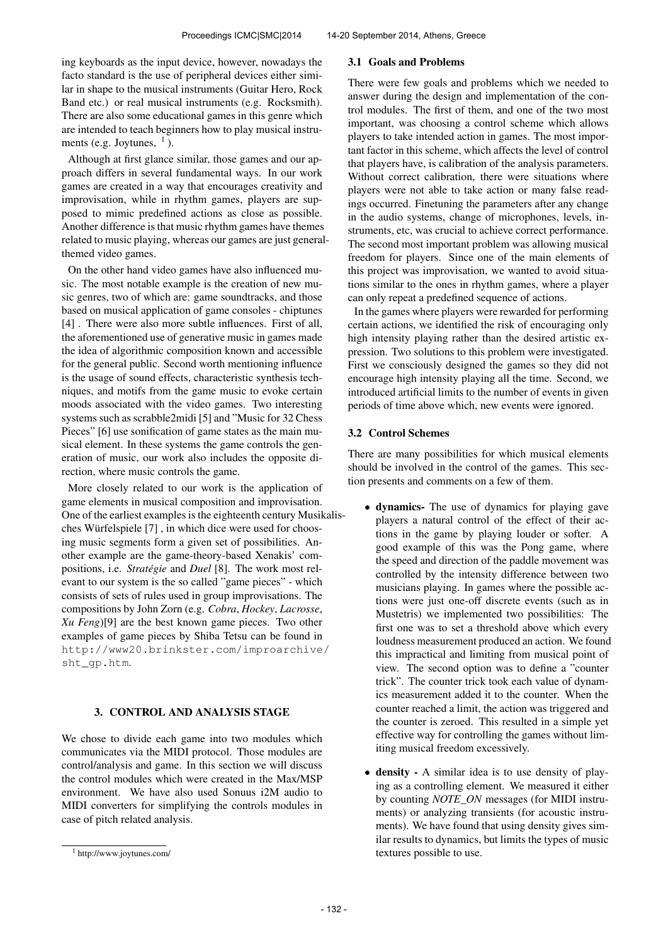ing keyboards as the input device, however, nowadays the facto standard is the use of peripheral devices either similar in shape to the musical instruments (Guitar Hero, Rock Band etc.) or real musical instruments (e.g. Rocksmith). There are also some educational games in this genre which are intended to teach beginners how to play musical instruments (e.g. Joytunes,  $<sup>1</sup>$ ).</sup>

Although at first glance similar, those games and our approach differs in several fundamental ways. In our work games are created in a way that encourages creativity and improvisation, while in rhythm games, players are supposed to mimic predefined actions as close as possible. Another difference is that music rhythm games have themes related to music playing, whereas our games are just generalthemed video games.

On the other hand video games have also influenced music. The most notable example is the creation of new music genres, two of which are: game soundtracks, and those based on musical application of game consoles - chiptunes [4]. There were also more subtle influences. First of all, the aforementioned use of generative music in games made the idea of algorithmic composition known and accessible for the general public. Second worth mentioning influence is the usage of sound effects, characteristic synthesis techniques, and motifs from the game music to evoke certain moods associated with the video games. Two interesting systems such as scrabble2midi [5] and "Music for 32 Chess Pieces" [6] use sonification of game states as the main musical element. In these systems the game controls the generation of music, our work also includes the opposite direction, where music controls the game.

More closely related to our work is the application of game elements in musical composition and improvisation. One of the earliest examples is the eighteenth century Musikalisches Würfelspiele [7] , in which dice were used for choosing music segments form a given set of possibilities. Another example are the game-theory-based Xenakis' compositions, i.e. *Stratégie* and *Duel* [8]. The work most relevant to our system is the so called "game pieces" - which consists of sets of rules used in group improvisations. The compositions by John Zorn (e.g. *Cobra*, *Hockey*, *Lacrosse*, *Xu Feng*)[9] are the best known game pieces. Two other examples of game pieces by Shiba Tetsu can be found in [http://www20.brinkster.com/improarchive](http://www20.brinkster.com/improarchive/sht_gp.htm)/ [sht\\_gp.htm](http://www20.brinkster.com/improarchive/sht_gp.htm).

## 3. CONTROL AND ANALYSIS STAGE

We chose to divide each game into two modules which communicates via the MIDI protocol. Those modules are control/analysis and game. In this section we will discuss the control modules which were created in the Max/MSP environment. We have also used Sonuus i2M audio to MIDI converters for simplifying the controls modules in case of pitch related analysis.

#### 3.1 Goals and Problems

There were few goals and problems which we needed to answer during the design and implementation of the control modules. The first of them, and one of the two most important, was choosing a control scheme which allows players to take intended action in games. The most important factor in this scheme, which affects the level of control that players have, is calibration of the analysis parameters. Without correct calibration, there were situations where players were not able to take action or many false readings occurred. Finetuning the parameters after any change in the audio systems, change of microphones, levels, instruments, etc, was crucial to achieve correct performance. The second most important problem was allowing musical freedom for players. Since one of the main elements of this project was improvisation, we wanted to avoid situations similar to the ones in rhythm games, where a player can only repeat a predefined sequence of actions.

In the games where players were rewarded for performing certain actions, we identified the risk of encouraging only high intensity playing rather than the desired artistic expression. Two solutions to this problem were investigated. First we consciously designed the games so they did not encourage high intensity playing all the time. Second, we introduced artificial limits to the number of events in given periods of time above which, new events were ignored.

#### 3.2 Control Schemes

There are many possibilities for which musical elements should be involved in the control of the games. This section presents and comments on a few of them.

- dynamics- The use of dynamics for playing gave players a natural control of the effect of their actions in the game by playing louder or softer. A good example of this was the Pong game, where the speed and direction of the paddle movement was controlled by the intensity difference between two musicians playing. In games where the possible actions were just one-off discrete events (such as in Mustetris) we implemented two possibilities: The first one was to set a threshold above which every loudness measurement produced an action. We found this impractical and limiting from musical point of view. The second option was to define a "counter trick". The counter trick took each value of dynamics measurement added it to the counter. When the counter reached a limit, the action was triggered and the counter is zeroed. This resulted in a simple yet effective way for controlling the games without limiting musical freedom excessively.
- density A similar idea is to use density of playing as a controlling element. We measured it either by counting *NOTE\_ON* messages (for MIDI instruments) or analyzing transients (for acoustic instruments). We have found that using density gives similar results to dynamics, but limits the types of music textures possible to use.

<sup>1</sup> http://www.joytunes.com/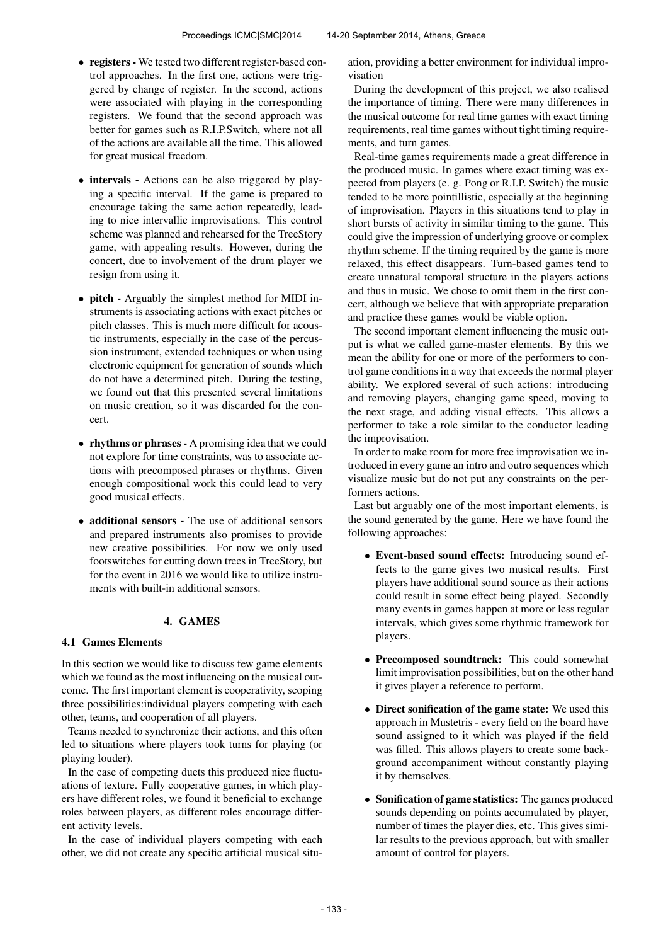- registers We tested two different register-based control approaches. In the first one, actions were triggered by change of register. In the second, actions were associated with playing in the corresponding registers. We found that the second approach was better for games such as R.I.P.Switch, where not all of the actions are available all the time. This allowed for great musical freedom.
- intervals Actions can be also triggered by playing a specific interval. If the game is prepared to encourage taking the same action repeatedly, leading to nice intervallic improvisations. This control scheme was planned and rehearsed for the TreeStory game, with appealing results. However, during the concert, due to involvement of the drum player we resign from using it.
- pitch Arguably the simplest method for MIDI instruments is associating actions with exact pitches or pitch classes. This is much more difficult for acoustic instruments, especially in the case of the percussion instrument, extended techniques or when using electronic equipment for generation of sounds which do not have a determined pitch. During the testing, we found out that this presented several limitations on music creation, so it was discarded for the concert.
- rhythms or phrases A promising idea that we could not explore for time constraints, was to associate actions with precomposed phrases or rhythms. Given enough compositional work this could lead to very good musical effects.
- additional sensors The use of additional sensors and prepared instruments also promises to provide new creative possibilities. For now we only used footswitches for cutting down trees in TreeStory, but for the event in 2016 we would like to utilize instruments with built-in additional sensors.

# 4. GAMES

## 4.1 Games Elements

In this section we would like to discuss few game elements which we found as the most influencing on the musical outcome. The first important element is cooperativity, scoping three possibilities:individual players competing with each other, teams, and cooperation of all players.

Teams needed to synchronize their actions, and this often led to situations where players took turns for playing (or playing louder).

In the case of competing duets this produced nice fluctuations of texture. Fully cooperative games, in which players have different roles, we found it beneficial to exchange roles between players, as different roles encourage different activity levels.

In the case of individual players competing with each other, we did not create any specific artificial musical situation, providing a better environment for individual improvisation

During the development of this project, we also realised the importance of timing. There were many differences in the musical outcome for real time games with exact timing requirements, real time games without tight timing requirements, and turn games.

Real-time games requirements made a great difference in the produced music. In games where exact timing was expected from players (e. g. Pong or R.I.P. Switch) the music tended to be more pointillistic, especially at the beginning of improvisation. Players in this situations tend to play in short bursts of activity in similar timing to the game. This could give the impression of underlying groove or complex rhythm scheme. If the timing required by the game is more relaxed, this effect disappears. Turn-based games tend to create unnatural temporal structure in the players actions and thus in music. We chose to omit them in the first concert, although we believe that with appropriate preparation and practice these games would be viable option.

The second important element influencing the music output is what we called game-master elements. By this we mean the ability for one or more of the performers to control game conditions in a way that exceeds the normal player ability. We explored several of such actions: introducing and removing players, changing game speed, moving to the next stage, and adding visual effects. This allows a performer to take a role similar to the conductor leading the improvisation.

In order to make room for more free improvisation we introduced in every game an intro and outro sequences which visualize music but do not put any constraints on the performers actions.

Last but arguably one of the most important elements, is the sound generated by the game. Here we have found the following approaches:

- Event-based sound effects: Introducing sound effects to the game gives two musical results. First players have additional sound source as their actions could result in some effect being played. Secondly many events in games happen at more or less regular intervals, which gives some rhythmic framework for players.
- Precomposed soundtrack: This could somewhat limit improvisation possibilities, but on the other hand it gives player a reference to perform.
- Direct sonification of the game state: We used this approach in Mustetris - every field on the board have sound assigned to it which was played if the field was filled. This allows players to create some background accompaniment without constantly playing it by themselves.
- Sonification of game statistics: The games produced sounds depending on points accumulated by player, number of times the player dies, etc. This gives similar results to the previous approach, but with smaller amount of control for players.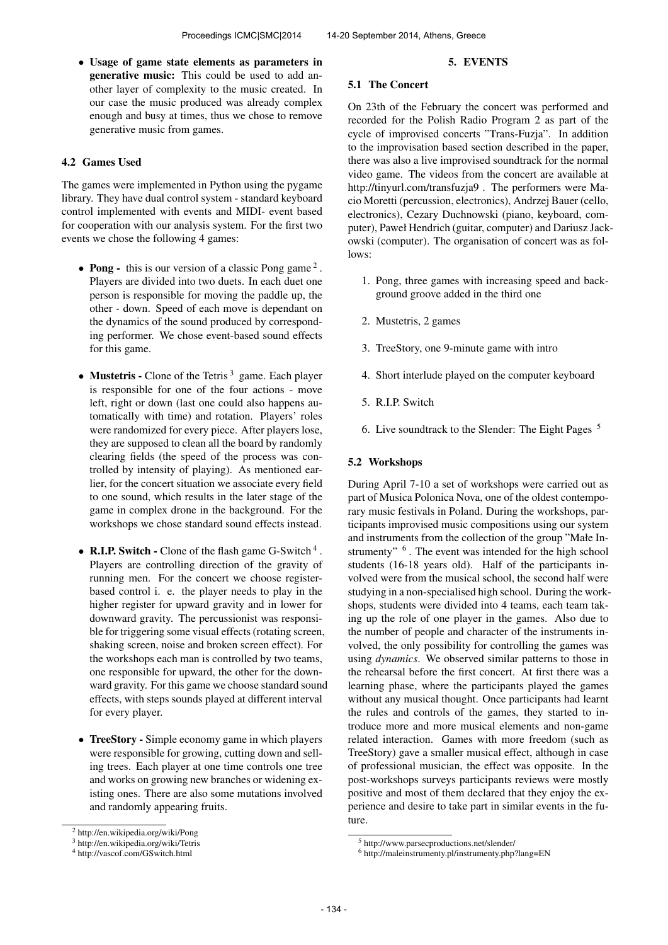• Usage of game state elements as parameters in generative music: This could be used to add another layer of complexity to the music created. In our case the music produced was already complex enough and busy at times, thus we chose to remove generative music from games.

### 4.2 Games Used

The games were implemented in Python using the pygame library. They have dual control system - standard keyboard control implemented with events and MIDI- event based for cooperation with our analysis system. For the first two events we chose the following 4 games:

- Pong this is our version of a classic Pong game<sup>2</sup>. Players are divided into two duets. In each duet one person is responsible for moving the paddle up, the other - down. Speed of each move is dependant on the dynamics of the sound produced by corresponding performer. We chose event-based sound effects for this game.
- Mustetris Clone of the Tetris<sup>3</sup> game. Each player is responsible for one of the four actions - move left, right or down (last one could also happens automatically with time) and rotation. Players' roles were randomized for every piece. After players lose, they are supposed to clean all the board by randomly clearing fields (the speed of the process was controlled by intensity of playing). As mentioned earlier, for the concert situation we associate every field to one sound, which results in the later stage of the game in complex drone in the background. For the workshops we chose standard sound effects instead.
- R.I.P. Switch Clone of the flash game G-Switch<sup>4</sup>. Players are controlling direction of the gravity of running men. For the concert we choose registerbased control i. e. the player needs to play in the higher register for upward gravity and in lower for downward gravity. The percussionist was responsible for triggering some visual effects (rotating screen, shaking screen, noise and broken screen effect). For the workshops each man is controlled by two teams, one responsible for upward, the other for the downward gravity. For this game we choose standard sound effects, with steps sounds played at different interval for every player.
- TreeStory Simple economy game in which players were responsible for growing, cutting down and selling trees. Each player at one time controls one tree and works on growing new branches or widening existing ones. There are also some mutations involved and randomly appearing fruits.

#### 5. EVENTS

## 5.1 The Concert

On 23th of the February the concert was performed and recorded for the Polish Radio Program 2 as part of the cycle of improvised concerts "Trans-Fuzja". In addition to the improvisation based section described in the paper, there was also a live improvised soundtrack for the normal video game. The videos from the concert are available at http://tinyurl.com/transfuzja9 . The performers were Macio Moretti (percussion, electronics), Andrzej Bauer (cello, electronics), Cezary Duchnowski (piano, keyboard, computer), Paweł Hendrich (guitar, computer) and Dariusz Jackowski (computer). The organisation of concert was as follows:

- 1. Pong, three games with increasing speed and background groove added in the third one
- 2. Mustetris, 2 games
- 3. TreeStory, one 9-minute game with intro
- 4. Short interlude played on the computer keyboard
- 5. R.I.P. Switch
- 6. Live soundtrack to the Slender: The Eight Pages <sup>5</sup>

### 5.2 Workshops

During April 7-10 a set of workshops were carried out as part of Musica Polonica Nova, one of the oldest contemporary music festivals in Poland. During the workshops, participants improvised music compositions using our system and instruments from the collection of the group "Małe Instrumenty" <sup>6</sup>. The event was intended for the high school students (16-18 years old). Half of the participants involved were from the musical school, the second half were studying in a non-specialised high school. During the workshops, students were divided into 4 teams, each team taking up the role of one player in the games. Also due to the number of people and character of the instruments involved, the only possibility for controlling the games was using *dynamics*. We observed similar patterns to those in the rehearsal before the first concert. At first there was a learning phase, where the participants played the games without any musical thought. Once participants had learnt the rules and controls of the games, they started to introduce more and more musical elements and non-game related interaction. Games with more freedom (such as TreeStory) gave a smaller musical effect, although in case of professional musician, the effect was opposite. In the post-workshops surveys participants reviews were mostly positive and most of them declared that they enjoy the experience and desire to take part in similar events in the future.

<sup>2</sup> http://en.wikipedia.org/wiki/Pong

<sup>3</sup> http://en.wikipedia.org/wiki/Tetris

<sup>4</sup> http://vascof.com/GSwitch.html

<sup>5</sup> http://www.parsecproductions.net/slender/

<sup>6</sup> http://maleinstrumenty.pl/instrumenty.php?lang=EN